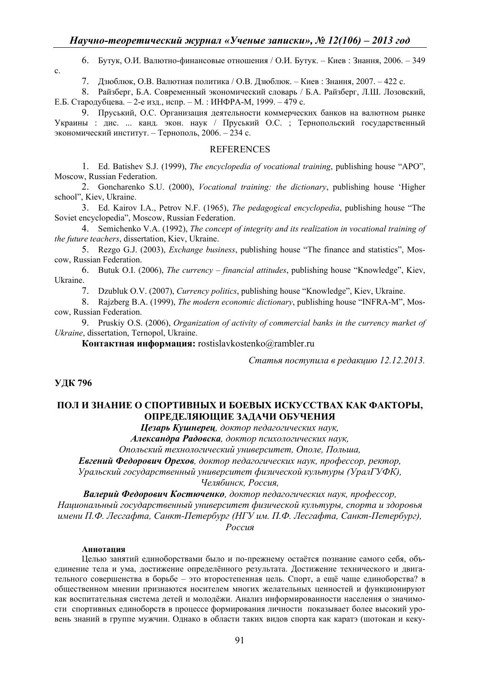## *Научно-теоретический журнал «Ученые записки», № 12(106) – 2013 год*

6. Бутук, О.И. Валютно-финансовые отношения / О.И. Бутук. – Киев : Знання, 2006. – 349

7. Дзюблюк, О.В. Валютная политика / О.В. Дзюблюк. – Киев : Знання, 2007. – 422 с.

8. Райзберг, Б.А. Современный экономический словарь / Б.А. Райзберг, Л.Ш. Лозовский, Е.Б. Стародубцева. – 2-е изд., испр. – М. : ИНФРА-М, 1999. – 479 с.

9. Пруський, О.С. Организация деятельности коммерческих банков на валютном рынке Украины : дис. ... канд. экон. наук / Пруський О.С. ; Тернопольский государственный экономический институт. – Тернополь, 2006. – 234 c.

### **REFERENCES**

1. Ed. Batishev S.J. (1999), *The encyclopedia of vocational training*, publishing house "APO", Moscow, Russian Federation.

2. Goncharenko S.U. (2000), *Vocational training: the dictionary*, publishing house 'Higher school", Kiev, Ukraine.

3. Ed. Kairov I.A., Petrov N.F. (1965), *The pedagogical encyclopedia*, publishing house "The Soviet encyclopedia", Moscow, Russian Federation.

4. Semichenko V.A. (1992), *The concept of integrity and its realization in vocational training of the future teachers*, dissertation, Kiev, Ukraine.

5. Rezgo G.J. (2003), *Exchange business*, publishing house "The finance and statistics", Moscow, Russian Federation.

6. Butuk O.I. (2006), *The currency – financial attitudes*, publishing house "Knowledge", Kiev, Ukraine.

7. Dzubluk O.V. (2007), *Currency politics*, publishing house "Knowledge", Kiev, Ukraine.

8. Rajzberg B.A. (1999), *The modern economic dictionary*, publishing house "INFRA-M", Moscow, Russian Federation.

9. Pruskiy O.S. (2006), *Organization of activity of commercial banks in the currency market of Ukraine*, dissertation, Ternopol, Ukraine.

**Контактная информация:** rostislavkostenko@rambler.ru

*Статья поступила в редакцию 12.12.2013.*

# **УДК 796**

с.

# **ПОЛ И ЗНАНИЕ О СПОРТИВНЫХ И БОЕВЫХ ИСКУССТВАХ КАК ФАКТОРЫ, ОПРЕДЕЛЯЮЩИЕ ЗАДАЧИ ОБУЧЕНИЯ**

*Цезарь Кушнерец, доктор педагогических наук,* 

*Александра Радовска, доктор психологических наук,* 

*Опольский технологический университет, Ополе, Польша,* 

*Евгений Федорович Орехов, доктор педагогических наук, профессор, ректор,* 

*Уральский государственный университет физической культуры (УралГУФК),* 

*Челябинск, Россия,* 

*Валерий Федорович Костюченко, доктор педагогических наук, профессор, Национальный государственный университет физической культуры, спорта и здоровья* имени П.Ф. Лесгафта, Санкт-Петербург (НГУ им. П.Ф. Лесгафта, Санкт-Петербург), *Россия*

#### **Аннотация**

Целью занятий единоборствами было и по-прежнему остаётся познание самого себя, объединение тела и ума, достижение определённого результата. Достижение технического и двигательного совершенства в борьбе – это второстепенная цель. Спорт, а ещё чаще единоборства? в общественном мнении признаются носителем многих желательных ценностей и функционируют как воспитательная система детей и молодёжи. Анализ информированности населения о значимости спортивных единоборств в процессе формирования личности показывает более высокий уровень знаний в группе мужчин. Однако в области таких видов спорта как каратэ (шотокан и кеку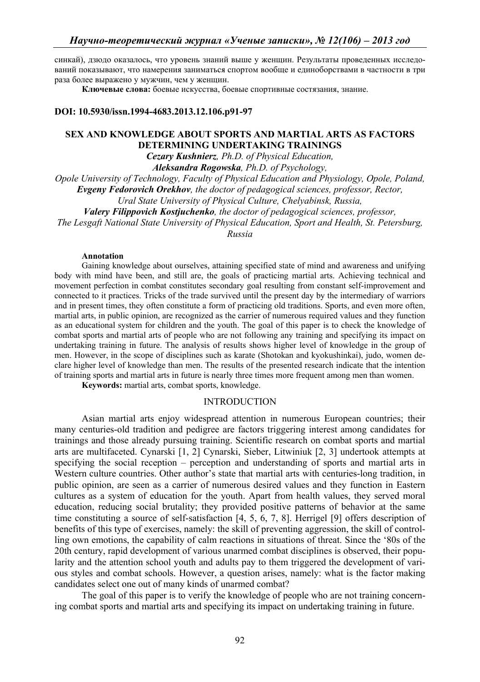синкай), дзюдо оказалось, что уровень знаний выше у женщин. Результаты проведенных исследований показывают, что намерения заниматься спортом вообще и единоборствами в частности в три раза более выражено у мужчин, чем у женщин.

**Ключевые слова:** боевые искусства, боевые спортивные состязания, знание.

## **DOI: 10.5930/issn.1994-4683.2013.12.106.p91-97**

### **SEX AND KNOWLEDGE ABOUT SPORTS AND MARTIAL ARTS AS FACTORS DETERMINING UNDERTAKING TRAININGS**

*Cezary Kushnierz, Ph.D. of Physical Education,* 

*Aleksandra Rogowska, Ph.D. of Psychology,* 

*Opole University of Technology, Faculty of Physical Education and Physiology, Opole, Poland,* 

*Evgeny Fedorovich Orekhov, the doctor of pedagogical sciences, professor, Rector,* 

*Ural State University of Physical Culture, Chelyabinsk, Russia,* 

*Valery Filippovich Kostjuchenko, the doctor of pedagogical sciences, professor,* 

*The Lesgaft National State University of Physical Education, Sport and Health, St. Petersburg,* 

*Russia* 

#### **Annotation**

Gaining knowledge about ourselves, attaining specified state of mind and awareness and unifying body with mind have been, and still are, the goals of practicing martial arts. Achieving technical and movement perfection in combat constitutes secondary goal resulting from constant self-improvement and connected to it practices. Tricks of the trade survived until the present day by the intermediary of warriors and in present times, they often constitute a form of practicing old traditions. Sports, and even more often, martial arts, in public opinion, are recognized as the carrier of numerous required values and they function as an educational system for children and the youth. The goal of this paper is to check the knowledge of combat sports and martial arts of people who are not following any training and specifying its impact on undertaking training in future. The analysis of results shows higher level of knowledge in the group of men. However, in the scope of disciplines such as karate (Shotokan and kyokushinkai), judo, women declare higher level of knowledge than men. The results of the presented research indicate that the intention of training sports and martial arts in future is nearly three times more frequent among men than women.

**Keywords:** martial arts, combat sports, knowledge.

### INTRODUCTION

Asian martial arts enjoy widespread attention in numerous European countries; their many centuries-old tradition and pedigree are factors triggering interest among candidates for trainings and those already pursuing training. Scientific research on combat sports and martial arts are multifaceted. Cynarski [1, 2] Cynarski, Sieber, Litwiniuk [2, 3] undertook attempts at specifying the social reception – perception and understanding of sports and martial arts in Western culture countries. Other author's state that martial arts with centuries-long tradition, in public opinion, are seen as a carrier of numerous desired values and they function in Eastern cultures as a system of education for the youth. Apart from health values, they served moral education, reducing social brutality; they provided positive patterns of behavior at the same time constituting a source of self-satisfaction [4, 5, 6, 7, 8]. Herrigel [9] offers description of benefits of this type of exercises, namely: the skill of preventing aggression, the skill of controlling own emotions, the capability of calm reactions in situations of threat. Since the '80s of the 20th century, rapid development of various unarmed combat disciplines is observed, their popularity and the attention school youth and adults pay to them triggered the development of various styles and combat schools. However, a question arises, namely: what is the factor making candidates select one out of many kinds of unarmed combat?

The goal of this paper is to verify the knowledge of people who are not training concerning combat sports and martial arts and specifying its impact on undertaking training in future.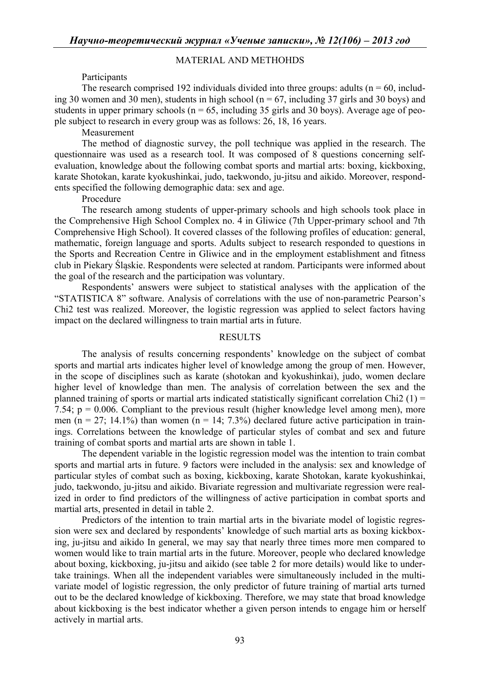### MATERIAL AND METHOHDS

### Participants

The research comprised 192 individuals divided into three groups: adults ( $n = 60$ , including 30 women and 30 men), students in high school ( $n = 67$ , including 37 girls and 30 boys) and students in upper primary schools ( $n = 65$ , including 35 girls and 30 boys). Average age of people subject to research in every group was as follows: 26, 18, 16 years.

### Measurement

The method of diagnostic survey, the poll technique was applied in the research. The questionnaire was used as a research tool. It was composed of 8 questions concerning selfevaluation, knowledge about the following combat sports and martial arts: boxing, kickboxing, karate Shotokan, karate kyokushinkai, judo, taekwondo, ju-jitsu and aikido. Moreover, respondents specified the following demographic data: sex and age.

### Procedure

The research among students of upper-primary schools and high schools took place in the Comprehensive High School Complex no. 4 in Gliwice (7th Upper-primary school and 7th Comprehensive High School). It covered classes of the following profiles of education: general, mathematic, foreign language and sports. Adults subject to research responded to questions in the Sports and Recreation Centre in Gliwice and in the employment establishment and fitness club in Piekary Śląskie. Respondents were selected at random. Participants were informed about the goal of the research and the participation was voluntary.

Respondents' answers were subject to statistical analyses with the application of the "STATISTICA 8" software. Analysis of correlations with the use of non-parametric Pearson's Chi2 test was realized. Moreover, the logistic regression was applied to select factors having impact on the declared willingness to train martial arts in future.

### **RESULTS**

The analysis of results concerning respondents' knowledge on the subject of combat sports and martial arts indicates higher level of knowledge among the group of men. However, in the scope of disciplines such as karate (shotokan and kyokushinkai), judo, women declare higher level of knowledge than men. The analysis of correlation between the sex and the planned training of sports or martial arts indicated statistically significant correlation Chi2 (1) = 7.54;  $p = 0.006$ . Compliant to the previous result (higher knowledge level among men), more men (n = 27; 14.1%) than women (n = 14; 7.3%) declared future active participation in trainings. Correlations between the knowledge of particular styles of combat and sex and future training of combat sports and martial arts are shown in table 1.

The dependent variable in the logistic regression model was the intention to train combat sports and martial arts in future. 9 factors were included in the analysis: sex and knowledge of particular styles of combat such as boxing, kickboxing, karate Shotokan, karate kyokushinkai, judo, taekwondo, ju-jitsu and aikido. Bivariate regression and multivariate regression were realized in order to find predictors of the willingness of active participation in combat sports and martial arts, presented in detail in table 2.

Predictors of the intention to train martial arts in the bivariate model of logistic regression were sex and declared by respondents' knowledge of such martial arts as boxing kickboxing, ju-jitsu and aikido In general, we may say that nearly three times more men compared to women would like to train martial arts in the future. Moreover, people who declared knowledge about boxing, kickboxing, ju-jitsu and aikido (see table 2 for more details) would like to undertake trainings. When all the independent variables were simultaneously included in the multivariate model of logistic regression, the only predictor of future training of martial arts turned out to be the declared knowledge of kickboxing. Therefore, we may state that broad knowledge about kickboxing is the best indicator whether a given person intends to engage him or herself actively in martial arts.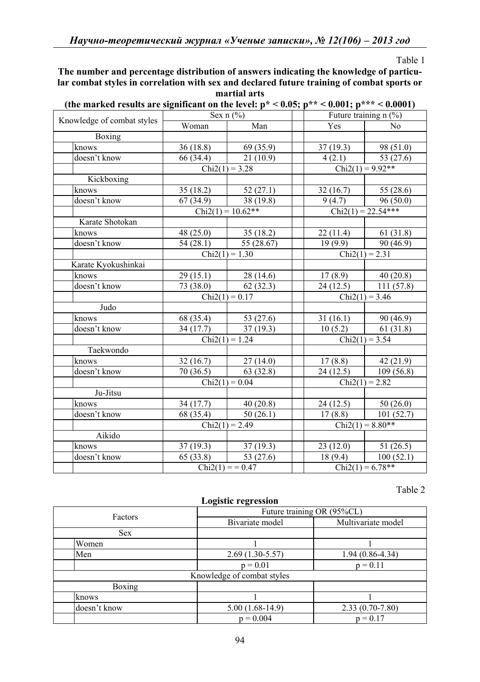Table 1

## **The number and percentage distribution of answers indicating the knowledge of particular combat styles in correlation with sex and declared future training of combat sports or martial arts**

| (the marked results are significant on the level, $p > 0.03$ , $p$ |                     |                  |           | $\sim$ 0.001, p $\sim$ 0.0001) |  |
|--------------------------------------------------------------------|---------------------|------------------|-----------|--------------------------------|--|
|                                                                    | Sex $n$ (%)         |                  |           | Future training n (%)          |  |
| Knowledge of combat styles                                         | Woman               | Man              | Yes       | No                             |  |
| Boxing                                                             |                     |                  |           |                                |  |
| knows                                                              | 36(18.8)            | 69 (35.9)        | 37(19.3)  | 98 (51.0)                      |  |
| doesn't know                                                       | 66 (34.4)           | 21(10.9)         | 4(2.1)    | 53 $(27.6)$                    |  |
|                                                                    | $Chi2(1) = 3.28$    |                  |           | $Chi2(1) = 9.92**$             |  |
| Kickboxing                                                         |                     |                  |           |                                |  |
| knows                                                              | 35(18.2)            | 52(27.1)         | 32(16.7)  | 55 (28.6)                      |  |
| doesn't know                                                       | 67(34.9)            | 38(19.8)         |           | $9(4.7)$ 96 (50.0)             |  |
|                                                                    | $Chi2(1) = 10.62**$ |                  |           | $Chi2(1) = 22.54***$           |  |
| Karate Shotokan                                                    |                     |                  |           |                                |  |
| knows                                                              | 48(25.0)            | 35(18.2)         | 22(11.4)  | 61(31.8)                       |  |
| doesn't know                                                       | 54 (28.1)           | 55 (28.67)       | 19(9.9)   | 90(46.9)                       |  |
|                                                                    | $Chi2(1) = 1.30$    |                  |           | $Chi2(1) = 2.31$               |  |
| Karate Kyokushinkai                                                |                     |                  |           |                                |  |
| knows                                                              | 29(15.1)            | 28(14.6)         | 17(8.9)   | 40(20.8)                       |  |
| doesn't know                                                       | 73 (38.0)           | 62(32.3)         | 24(12.5)  | 111(57.8)                      |  |
|                                                                    |                     | $Chi2(1) = 0.17$ |           | $Chi2(1) = 3.46$               |  |
| Judo                                                               |                     |                  |           |                                |  |
| knows                                                              | 68 (35.4)           | 53 (27.6)        | 31(16.1)  | 90(46.9)                       |  |
| doesn't know                                                       | 34(17.7)            | 37(19.3)         |           | $10(5.2)$ 61 (31.8)            |  |
|                                                                    |                     | $Chi2(1) = 1.24$ |           | $Chi2(1) = 3.54$               |  |
| Taekwondo                                                          |                     |                  |           |                                |  |
| knows                                                              | 32(16.7)            | 27(14.0)         | 17(8.8)   | 42(21.9)                       |  |
| doesn't know                                                       | 70 (36.5)           | 63 (32.8)        |           | $24(12.5)$ 109 (56.8)          |  |
|                                                                    | $Chi2(1) = 0.04$    |                  |           | $Chi2(1) = 2.82$               |  |
| Ju-Jitsu                                                           |                     |                  |           |                                |  |
| knows                                                              | 34(17.7)            | 40(20.8)         | 24 (12.5) | $-50(26.0)$                    |  |
| doesn't know                                                       | 68 (35.4)           | 50(26.1)         | 17(8.8)   | 101(52.7)                      |  |
|                                                                    | $Chi2(1) = 2.49$    |                  |           | $Chi2(1) = 8.80**$             |  |
| Aikido                                                             |                     |                  |           |                                |  |
| knows                                                              | 37(19.3)            | 37(19.3)         | 23(12.0)  | 51(26.5)                       |  |
| doesn't know                                                       | 65(33.8)            | 53 (27.6)        | 18(9.4)   | 100(52.1)                      |  |
|                                                                    |                     | $Chi2(1) = 0.47$ |           | $Chi2(1) = 6.78**$             |  |

(the marked results are significant on the level:  $p^* < 0.05$ ;  $p^* < 0.001$ ;  $p^{**} < 0.001$ )

Table 2

| <b>Logistic regression</b> |                   |                            |  |  |  |
|----------------------------|-------------------|----------------------------|--|--|--|
|                            |                   | Future training OR (95%CL) |  |  |  |
| Factors                    | Bivariate model   | Multivariate model         |  |  |  |
| <b>Sex</b>                 |                   |                            |  |  |  |
| Women                      |                   |                            |  |  |  |
| Men                        | $2.69(1.30-5.57)$ | $1.94(0.86 - 4.34)$        |  |  |  |
|                            | $p = 0.01$        | $p = 0.11$                 |  |  |  |
| Knowledge of combat styles |                   |                            |  |  |  |
| Boxing                     |                   |                            |  |  |  |
| knows                      |                   |                            |  |  |  |
| doesn't know               | $5.00(1.68-14.9)$ | $2.33(0.70-7.80)$          |  |  |  |
|                            | $p = 0.004$       | $p = 0.17$                 |  |  |  |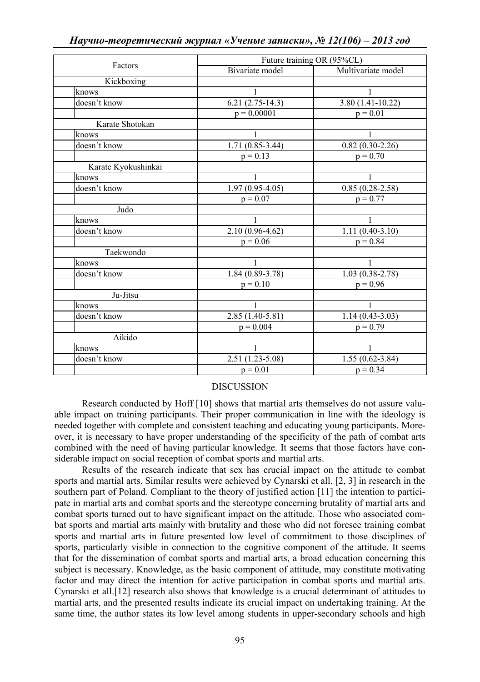|                     | Future training OR (95%CL) |                     |  |
|---------------------|----------------------------|---------------------|--|
| Factors             | Bivariate model            | Multivariate model  |  |
| Kickboxing          |                            |                     |  |
| knows               |                            |                     |  |
| doesn't know        | $6.21(2.75-14.3)$          | 3.80 (1.41-10.22)   |  |
|                     | $p = 0.00001$              | $p = 0.01$          |  |
| Karate Shotokan     |                            |                     |  |
| knows               | 1                          | 1                   |  |
| doesn't know        | $1.71(0.85-3.44)$          | $0.82(0.30-2.26)$   |  |
|                     | $p = 0.13$                 | $p = 0.70$          |  |
| Karate Kyokushinkai |                            |                     |  |
| knows               | $\mathbf{1}$               | $\mathbf{1}$        |  |
| doesn't know        | $1.97(0.95-4.05)$          | $0.85(0.28-2.58)$   |  |
|                     | $p = 0.07$                 | $p = 0.77$          |  |
| Judo                |                            |                     |  |
| knows               | 1                          | 1                   |  |
| doesn't know        | 2.10 (0.96-4.62)           | $1.11(0.40-3.10)$   |  |
|                     | $p = 0.06$                 | $p = 0.84$          |  |
| Taekwondo           |                            |                     |  |
| knows               | $\mathbf{1}$               | $\mathbf{1}$        |  |
| doesn't know        | $1.84(0.89-3.78)$          | $1.03(0.38-2.78)$   |  |
|                     | $p = 0.10$                 | $p = 0.96$          |  |
| Ju-Jitsu            |                            |                     |  |
| knows               | $\mathbf{1}$               | 1                   |  |
| doesn't know        | $2.85(1.40-5.81)$          | $1.14(0.43-3.03)$   |  |
|                     | $p = 0.004$                | $p = 0.79$          |  |
| Aikido              |                            |                     |  |
| knows               | $\mathbf{1}$               | 1                   |  |
| doesn't know        | $2.51(1.23-5.08)$          | $1.55(0.62 - 3.84)$ |  |
|                     | $p = 0.01$                 | $p = 0.34$          |  |

### DISCUSSION

Research conducted by Hoff [10] shows that martial arts themselves do not assure valuable impact on training participants. Their proper communication in line with the ideology is needed together with complete and consistent teaching and educating young participants. Moreover, it is necessary to have proper understanding of the specificity of the path of combat arts combined with the need of having particular knowledge. It seems that those factors have considerable impact on social reception of combat sports and martial arts.

Results of the research indicate that sex has crucial impact on the attitude to combat sports and martial arts. Similar results were achieved by Cynarski et all. [2, 3] in research in the southern part of Poland. Compliant to the theory of justified action [11] the intention to participate in martial arts and combat sports and the stereotype concerning brutality of martial arts and combat sports turned out to have significant impact on the attitude. Those who associated combat sports and martial arts mainly with brutality and those who did not foresee training combat sports and martial arts in future presented low level of commitment to those disciplines of sports, particularly visible in connection to the cognitive component of the attitude. It seems that for the dissemination of combat sports and martial arts, a broad education concerning this subject is necessary. Knowledge, as the basic component of attitude, may constitute motivating factor and may direct the intention for active participation in combat sports and martial arts. Cynarski et all.[12] research also shows that knowledge is a crucial determinant of attitudes to martial arts, and the presented results indicate its crucial impact on undertaking training. At the same time, the author states its low level among students in upper-secondary schools and high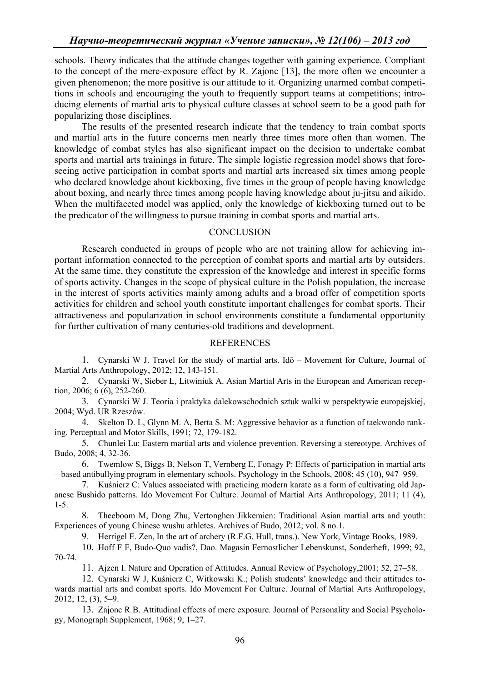schools. Theory indicates that the attitude changes together with gaining experience. Compliant to the concept of the mere-exposure effect by R. Zajonc [13], the more often we encounter a given phenomenon; the more positive is our attitude to it. Organizing unarmed combat competitions in schools and encouraging the youth to frequently support teams at competitions; introducing elements of martial arts to physical culture classes at school seem to be a good path for popularizing those disciplines.

The results of the presented research indicate that the tendency to train combat sports and martial arts in the future concerns men nearly three times more often than women. The knowledge of combat styles has also significant impact on the decision to undertake combat sports and martial arts trainings in future. The simple logistic regression model shows that foreseeing active participation in combat sports and martial arts increased six times among people who declared knowledge about kickboxing, five times in the group of people having knowledge about boxing, and nearly three times among people having knowledge about ju-jitsu and aikido. When the multifaceted model was applied, only the knowledge of kickboxing turned out to be the predicator of the willingness to pursue training in combat sports and martial arts.

### **CONCLUSION**

Research conducted in groups of people who are not training allow for achieving important information connected to the perception of combat sports and martial arts by outsiders. At the same time, they constitute the expression of the knowledge and interest in specific forms of sports activity. Changes in the scope of physical culture in the Polish population, the increase in the interest of sports activities mainly among adults and a broad offer of competition sports activities for children and school youth constitute important challenges for combat sports. Their attractiveness and popularization in school environments constitute a fundamental opportunity for further cultivation of many centuries-old traditions and development.

## **REFERENCES**

1. Cynarski W J. Travel for the study of martial arts. Idō – Movement for Culture, Journal of Martial Arts Anthropology, 2012; 12, 143-151.

2. Cynarski W, Sieber L, Litwiniuk A. Asian Martial Arts in the European and American reception, 2006; 6 (6), 252-260.

3. Cynarski W J. Teoria i praktyka dalekowschodnich sztuk walki w perspektywie europejskiej, 2004; Wyd. UR Rzeszów.

4. Skelton D. L, Glynn M. A, Berta S. M: Aggressive behavior as a function of taekwondo ranking. Perceptual and Motor Skills, 1991; 72, 179-182.

5. Chunlei Lu: Eastern martial arts and violence prevention. Reversing a stereotype. Archives of Budo, 2008; 4, 32-36.

6. Twemlow S, Biggs B, Nelson T, Vernberg E, Fonagy P: Effects of participation in martial arts – based antibullying program in elementary schools. Psychology in the Schools, 2008; 45 (10), 947–959.

7. Kuśnierz C: Values associated with practicing modern karate as a form of cultivating old Japanese Bushido patterns. Ido Movement For Culture. Journal of Martial Arts Anthropology, 2011; 11 (4), 1-5.

8. Theeboom M, Dong Zhu, Vertonghen Jikkemien: Traditional Asian martial arts and youth: Experiences of young Chinese wushu athletes. Archives of Budo, 2012; vol. 8 no.1.

9. Herrigel E. Zen, In the art of archery (R.F.G. Hull, trans.). New York, Vintage Books, 1989.

10. Hoff F F, Budo-Quo vadis?, Dao. Magasin Fernostlicher Lebenskunst, Sonderheft, 1999; 92, 70-74.

11. Ajzen I. Nature and Operation of Attitudes. Annual Review of Psychology,2001; 52, 27–58.

12. Cynarski W J, Kuśnierz C, Witkowski K.; Polish students' knowledge and their attitudes towards martial arts and combat sports. Ido Movement For Culture. Journal of Martial Arts Anthropology, 2012; 12, (3), 5–9.

13. Zajonc R B. Attitudinal effects of mere exposure. Journal of Personality and Social Psychology, Monograph Supplement, 1968; 9, 1–27.